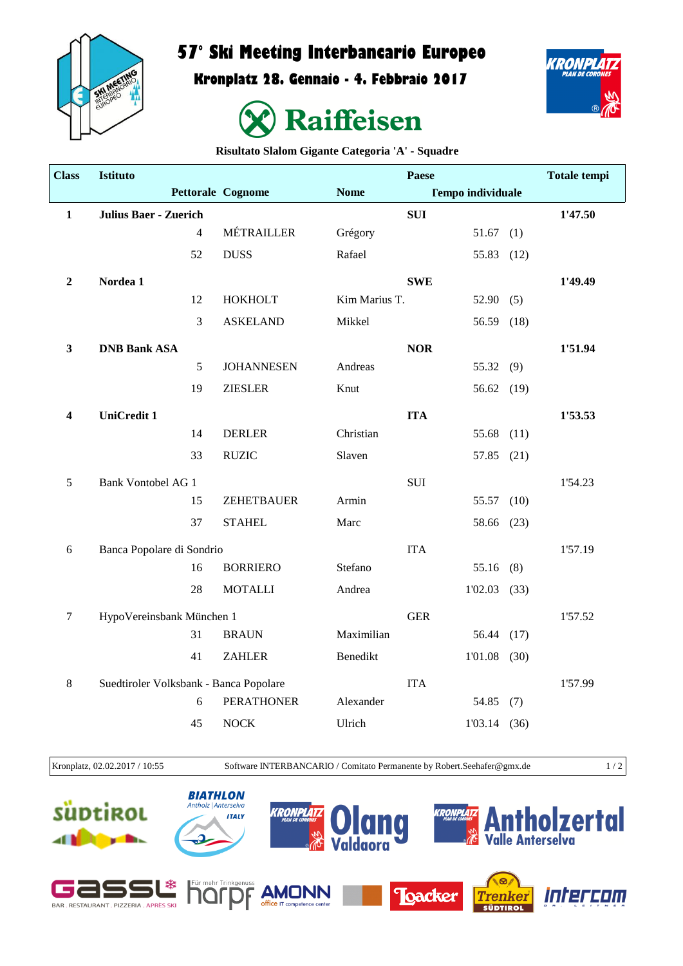

## **57° Ski Meeting Interbancario Europeo**

**Kronplatz 28. Gennaio - 4. Febbraio 2017**





**Risultato Slalom Gigante Categoria 'A' - Squadre**

| <b>Class</b>     | Istituto                               |                |                   |               | <b>Paese</b>             |                |      | <b>Totale tempi</b> |
|------------------|----------------------------------------|----------------|-------------------|---------------|--------------------------|----------------|------|---------------------|
|                  |                                        |                | Pettorale Cognome | <b>Nome</b>   | <b>Tempo individuale</b> |                |      |                     |
| $\mathbf{1}$     | <b>Julius Baer - Zuerich</b>           |                |                   |               | <b>SUI</b>               |                |      | 1'47.50             |
|                  |                                        | $\overline{4}$ | MÉTRAILLER        | Grégory       |                          | 51.67(1)       |      |                     |
|                  |                                        | 52             | <b>DUSS</b>       | Rafael        |                          | 55.83 (12)     |      |                     |
| $\boldsymbol{2}$ | Nordea 1                               |                |                   |               | <b>SWE</b>               |                |      | 1'49.49             |
|                  |                                        | 12             | <b>HOKHOLT</b>    | Kim Marius T. |                          | 52.90(5)       |      |                     |
|                  |                                        | 3              | <b>ASKELAND</b>   | Mikkel        |                          | 56.59          | (18) |                     |
| $\mathbf{3}$     | <b>DNB Bank ASA</b>                    |                |                   |               | <b>NOR</b>               |                |      | 1'51.94             |
|                  |                                        | 5              | <b>JOHANNESEN</b> | Andreas       |                          | 55.32 (9)      |      |                     |
|                  |                                        | 19             | <b>ZIESLER</b>    | Knut          |                          | 56.62 (19)     |      |                     |
| 4                | <b>UniCredit 1</b>                     |                |                   |               | <b>ITA</b>               |                |      | 1'53.53             |
|                  |                                        | 14             | <b>DERLER</b>     | Christian     |                          | 55.68 (11)     |      |                     |
|                  |                                        | 33             | <b>RUZIC</b>      | Slaven        |                          | 57.85 (21)     |      |                     |
| 5                | <b>Bank Vontobel AG 1</b>              |                |                   |               | <b>SUI</b>               |                |      | 1'54.23             |
|                  |                                        | 15             | ZEHETBAUER        | Armin         |                          | 55.57          | (10) |                     |
|                  |                                        | 37             | <b>STAHEL</b>     | Marc          |                          | 58.66 (23)     |      |                     |
| 6                | Banca Popolare di Sondrio              |                |                   |               | <b>ITA</b>               |                |      | 1'57.19             |
|                  |                                        | 16             | <b>BORRIERO</b>   | Stefano       |                          | 55.16(8)       |      |                     |
|                  |                                        | 28             | <b>MOTALLI</b>    | Andrea        |                          | $1'02.03$ (33) |      |                     |
| $\boldsymbol{7}$ | HypoVereinsbank München 1              |                |                   |               | <b>GER</b>               |                |      | 1'57.52             |
|                  |                                        | 31             | <b>BRAUN</b>      | Maximilian    |                          | 56.44 (17)     |      |                     |
|                  |                                        | 41             | <b>ZAHLER</b>     | Benedikt      |                          | $1'01.08$ (30) |      |                     |
| 8                | Suedtiroler Volksbank - Banca Popolare |                |                   |               | <b>ITA</b>               |                |      | 1'57.99             |
|                  |                                        | 6              | <b>PERATHONER</b> | Alexander     |                          | 54.85 $(7)$    |      |                     |
|                  |                                        | 45             | <b>NOCK</b>       | Ulrich        |                          | 1'03.14(36)    |      |                     |
|                  |                                        |                |                   |               |                          |                |      |                     |

Kronplatz, 02.02.2017 / 10:55 Software INTERBANCARIO / Comitato Permanente by Robert.Seehafer@gmx.de 1 / 2